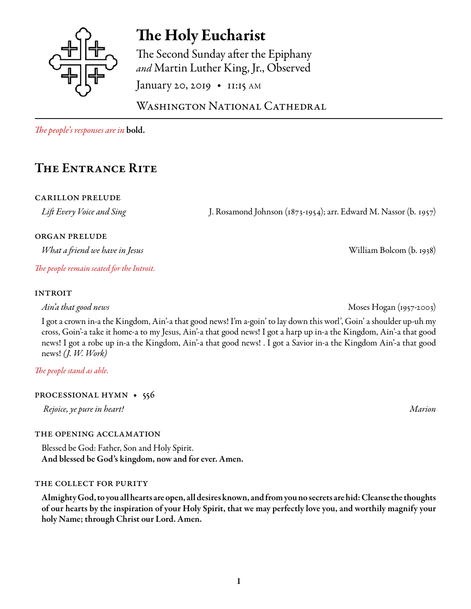

# The Holy Eucharist

The Second Sunday after the Epiphany *and* Martin Luther King, Jr., Observed

January 20, 2019 • 11:15 AM

Washington National Cathedral

*The people's responses are in* bold.

# The Entrance Rite

# carillon prelude

*Lift Every Voice and Sing* J. Rosamond Johnson (1873-1954); arr. Edward M. Nassor (b. 1957)

# organ prelude

*What a friend we have in Jesus* William Bolcom (b. 1938)

*The people remain seated for the Introit.*

# **INTROIT**

*Ain'a that good news* Moses Hogan (1957-2003)

I got a crown in-a the Kingdom, Ain'-a that good news! I'm a-goin' to lay down this worl', Goin' a shoulder up-uh my cross, Goin'-a take it home-a to my Jesus, Ain'-a that good news! I got a harp up in-a the Kingdom, Ain'-a that good news! I got a robe up in-a the Kingdom, Ain'-a that good news! . I got a Savior in-a the Kingdom Ain'-a that good news! *(J. W. Work)*

*The people stand as able.* 

# processional hymn • 556

 *Rejoice, ye pure in heart! Marion*

# the opening acclamation

Blessed be God: Father, Son and Holy Spirit. And blessed be God's kingdom, now and for ever. Amen.

# THE COLLECT FOR PURITY

Almighty God, to you all hearts are open, all desires known, and from you no secrets are hid: Cleanse the thoughts of our hearts by the inspiration of your Holy Spirit, that we may perfectly love you, and worthily magnify your holy Name; through Christ our Lord. Amen.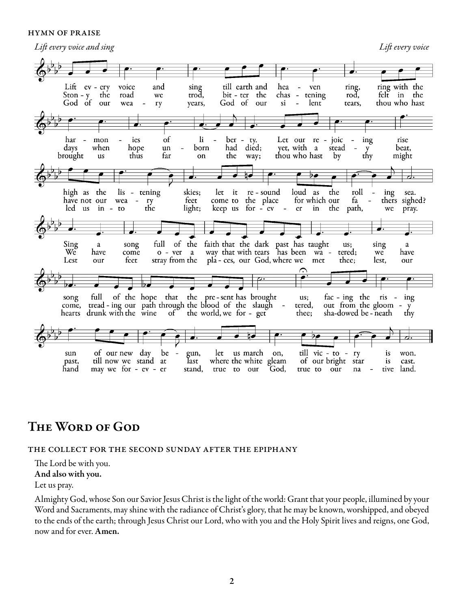#### hymn of praise

*Lift every voice and sing Lift every voice*

|         | Lift $ev - cry$ | voice                           | and                                                  | sing                                       |        | till earth and               | hea<br>$\overline{\phantom{a}}$ | ven                                      | ring,                    | ring with the             |
|---------|-----------------|---------------------------------|------------------------------------------------------|--------------------------------------------|--------|------------------------------|---------------------------------|------------------------------------------|--------------------------|---------------------------|
|         | $Ston - y$ the  | road                            | we                                                   | trod,                                      |        | bit - ter the                |                                 | chas - tening                            | rod,                     | felt in the               |
|         | God of our      | wea<br>$\overline{\phantom{0}}$ | ry                                                   | years,                                     |        | God of our                   | si<br>$\overline{\phantom{a}}$  | lent                                     | tears,                   | thou who hast             |
|         |                 |                                 |                                                      |                                            |        |                              |                                 |                                          |                          |                           |
|         |                 |                                 |                                                      |                                            |        |                              |                                 |                                          |                          |                           |
|         |                 |                                 |                                                      |                                            |        |                              |                                 |                                          |                          |                           |
| har     | mon             | ies                             | of                                                   | li                                         |        |                              |                                 | Let our $re - j$ oic                     |                          | rise                      |
| days    | when            | hope                            | un                                                   | born                                       | $\sim$ | $ber - ty.$<br>had died;     |                                 | yet, with a                              | ing<br>$\equiv$<br>stead | beat,                     |
| brought | us              | thus                            | far                                                  | $\qquad \qquad \blacksquare$<br>on         | the    | way;                         |                                 | thou who hast                            | y<br>by<br>thy           | might                     |
|         |                 |                                 |                                                      |                                            |        |                              |                                 |                                          |                          |                           |
|         |                 |                                 |                                                      |                                            |        |                              |                                 |                                          |                          |                           |
|         |                 |                                 |                                                      |                                            |        |                              |                                 |                                          |                          |                           |
|         |                 |                                 |                                                      |                                            |        |                              |                                 |                                          |                          |                           |
|         | high as the     | lis - tening                    |                                                      | skies;                                     |        | let it re-sound              |                                 | loud as the                              | roll -                   | ing<br>sea.               |
|         |                 | have not our wea - ry           |                                                      | feet                                       |        | come to the place            |                                 | for which our                            | fa<br>$\sim$ $ \sim$     | thers sighed?             |
|         | led us in - to  |                                 | the                                                  | light;                                     |        | keep us for $-$ ev $-$ er    |                                 | in                                       | the path,                | we<br>pray.               |
|         |                 |                                 |                                                      |                                            |        |                              |                                 |                                          |                          |                           |
|         |                 |                                 |                                                      |                                            |        |                              |                                 |                                          |                          |                           |
|         |                 |                                 |                                                      |                                            |        |                              |                                 |                                          |                          |                           |
| Sing    | a               | song                            | full                                                 | of the faith that the dark past has taught |        |                              |                                 |                                          | us:                      | sing<br>a                 |
| We      | have            | come                            | $o - ver a$                                          |                                            |        |                              |                                 | way that with tears has been wa - tered; |                          | have<br>we                |
| Lest    | our             | feet                            | stray from the                                       |                                            |        | pla - ces, our God, where we |                                 | met                                      | thee;                    | lest,<br>our              |
|         |                 |                                 |                                                      |                                            |        |                              |                                 |                                          |                          |                           |
|         |                 |                                 |                                                      |                                            |        |                              |                                 |                                          |                          |                           |
|         |                 |                                 |                                                      |                                            |        |                              |                                 |                                          |                          |                           |
|         |                 |                                 |                                                      |                                            |        |                              |                                 |                                          |                          |                           |
| song    | full            |                                 | of the hope that the pre-sent has brought            |                                            |        |                              |                                 | us;                                      |                          | $fac - ing$ the ris - ing |
| come,   |                 |                                 | tread - ing our path through the blood of the slaugh |                                            |        |                              |                                 | tered,                                   |                          | out from the gloom - $y$  |
| hearts  |                 |                                 | drunk with the wine of the world, we for - get       |                                            |        |                              |                                 | thee;                                    | sha-dowed be - neath     | thy                       |
|         |                 |                                 |                                                      |                                            |        |                              |                                 |                                          |                          |                           |
|         |                 |                                 |                                                      |                                            |        |                              |                                 |                                          |                          |                           |
|         |                 |                                 |                                                      |                                            |        |                              |                                 |                                          |                          |                           |
| sun     |                 | of our new day                  | $be -$                                               |                                            |        | let us march on,             |                                 | till vic - to - ry                       |                          | is.<br>won.               |
| past,   |                 | till now we stand at            |                                                      | gun,<br><b>Iast</b>                        |        | where the white gleam        |                                 | of our bright star                       |                          | 1S<br>cast.               |
| hand    |                 | may we for - ev - er            |                                                      | stand,                                     |        | true to our God,             |                                 | true to our                              | na                       | tive land.                |

# The Word of God

# the collect for the second sunday after the epiphany

The Lord be with you. And also with you.

Let us pray.

Almighty God, whose Son our Savior Jesus Christ is the light of the world: Grant that your people, illumined by your Word and Sacraments, may shine with the radiance of Christ's glory, that he may be known, worshipped, and obeyed to the ends of the earth; through Jesus Christ our Lord, who with you and the Holy Spirit lives and reigns, one God, now and for ever. Amen.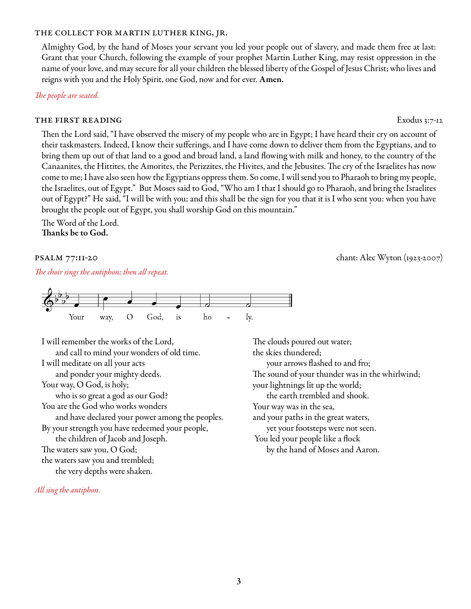# the collect for martin luther king, jr.

Almighty God, by the hand of Moses your servant you led your people out of slavery, and made them free at last: Grant that your Church, following the example of your prophet Martin Luther King, may resist oppression in the name of your love, and may secure for all your children the blessed liberty of the Gospel of Jesus Christ; who lives and reigns with you and the Holy Spirit, one God, now and for ever. Amen.

*The people are seated.* 

## THE FIRST READING Exodus 3:7-12

Then the Lord said, "I have observed the misery of my people who are in Egypt; I have heard their cry on account of their taskmasters. Indeed, I know their sufferings, and I have come down to deliver them from the Egyptians, and to bring them up out of that land to a good and broad land, a land flowing with milk and honey, to the country of the Canaanites, the Hittites, the Amorites, the Perizzites, the Hivites, and the Jebusites. The cry of the Israelites has now come to me; I have also seen how the Egyptians oppress them. So come, I will send you to Pharaoh to bring my people, the Israelites, out of Egypt." But Moses said to God, "Who am I that I should go to Pharaoh, and bring the Israelites out of Egypt?" He said, "I will be with you; and this shall be the sign for you that it is I who sent you: when you have brought the people out of Egypt, you shall worship God on this mountain."

The Word of the Lord. Thanks be to God.

### psalm 77:11-20 chant: Alec Wyton (1923-2007)

*The choir sings the antiphon; then all repeat.* 



I will remember the works of the Lord, and call to mind your wonders of old time. I will meditate on all your acts and ponder your mighty deeds. Your way, O God, is holy; who is so great a god as our God? You are the God who works wonders and have declared your power among the peoples. By your strength you have redeemed your people, the children of Jacob and Joseph. The waters saw you, O God; the waters saw you and trembled; the very depths were shaken.

*All sing the antiphon.* 

The clouds poured out water; the skies thundered; your arrows flashed to and fro; The sound of your thunder was in the whirlwind; your lightnings lit up the world; the earth trembled and shook. Your way was in the sea, and your paths in the great waters, yet your footsteps were not seen. You led your people like a flock by the hand of Moses and Aaron.

3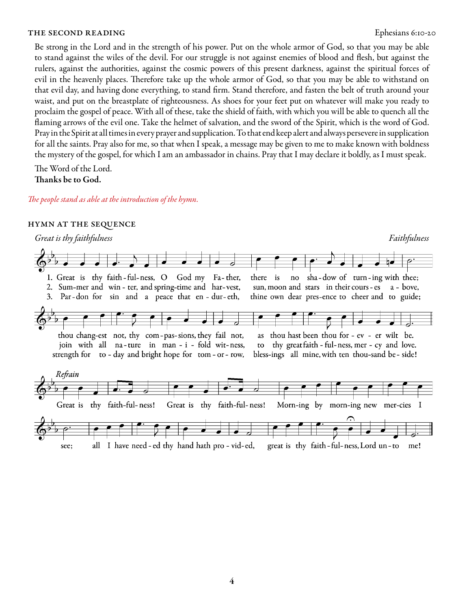#### the second reading Ephesians 6:10-20

Be strong in the Lord and in the strength of his power. Put on the whole armor of God, so that you may be able to stand against the wiles of the devil. For our struggle is not against enemies of blood and flesh, but against the rulers, against the authorities, against the cosmic powers of this present darkness, against the spiritual forces of evil in the heavenly places. Therefore take up the whole armor of God, so that you may be able to withstand on that evil day, and having done everything, to stand firm. Stand therefore, and fasten the belt of truth around your waist, and put on the breastplate of righteousness. As shoes for your feet put on whatever will make you ready to proclaim the gospel of peace. With all of these, take the shield of faith, with which you will be able to quench all the flaming arrows of the evil one. Take the helmet of salvation, and the sword of the Spirit, which is the word of God. Pray in the Spirit at all times in every prayer and supplication. To that end keep alert and always persevere in supplication for all the saints. Pray also for me, so that when I speak, a message may be given to me to make known with boldness the mystery of the gospel, for which I am an ambassador in chains. Pray that I may declare it boldly, as I must speak.

The Word of the Lord. Thanks be to God.

#### *The people stand as able at the introduction of the hymn.*

# hymn at the sequence

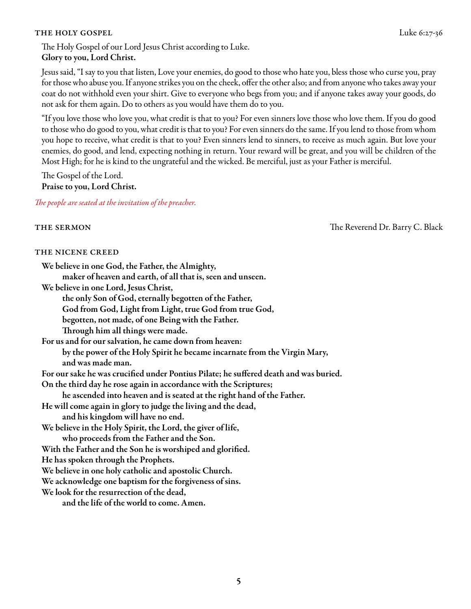### THE HOLY GOSPEL **Luke 6:27-36**

The Holy Gospel of our Lord Jesus Christ according to Luke. Glory to you, Lord Christ.

Jesus said, "I say to you that listen, Love your enemies, do good to those who hate you, bless those who curse you, pray for those who abuse you. If anyone strikes you on the cheek, offer the other also; and from anyone who takes away your coat do not withhold even your shirt. Give to everyone who begs from you; and if anyone takes away your goods, do not ask for them again. Do to others as you would have them do to you.

"If you love those who love you, what credit is that to you? For even sinners love those who love them. If you do good to those who do good to you, what credit is that to you? For even sinners do the same. If you lend to those from whom you hope to receive, what credit is that to you? Even sinners lend to sinners, to receive as much again. But love your enemies, do good, and lend, expecting nothing in return. Your reward will be great, and you will be children of the Most High; for he is kind to the ungrateful and the wicked. Be merciful, just as your Father is merciful.

The Gospel of the Lord. Praise to you, Lord Christ.

*The people are seated at the invitation of the preacher.*

THE SERMON THE SERMON THE SERMON THE REVERSION THE REVERSION THE REVERSION THE REVERSION OF THE REVERSION OF THE REVERSION OF THE SERMON

### the nicene creed

We believe in one God, the Father, the Almighty, maker of heaven and earth, of all that is, seen and unseen. We believe in one Lord, Jesus Christ, the only Son of God, eternally begotten of the Father, God from God, Light from Light, true God from true God, begotten, not made, of one Being with the Father. Through him all things were made. For us and for our salvation, he came down from heaven: by the power of the Holy Spirit he became incarnate from the Virgin Mary, and was made man. For our sake he was crucified under Pontius Pilate; he suffered death and was buried. On the third day he rose again in accordance with the Scriptures; he ascended into heaven and is seated at the right hand of the Father. He will come again in glory to judge the living and the dead, and his kingdom will have no end. We believe in the Holy Spirit, the Lord, the giver of life, who proceeds from the Father and the Son. With the Father and the Son he is worshiped and glorified. He has spoken through the Prophets. We believe in one holy catholic and apostolic Church. We acknowledge one baptism for the forgiveness of sins. We look for the resurrection of the dead, and the life of the world to come. Amen.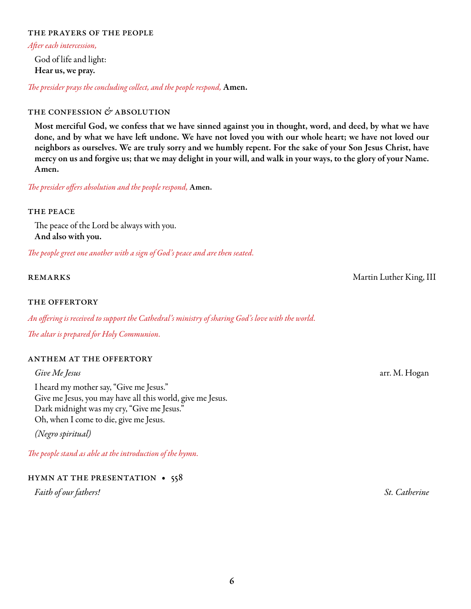#### the prayers of the people

*After each intercession,*

God of life and light: Hear us, we pray.

*The presider prays the concluding collect, and the people respond,* Amen.

# the confession *&* absolution

Most merciful God, we confess that we have sinned against you in thought, word, and deed, by what we have done, and by what we have left undone. We have not loved you with our whole heart; we have not loved our neighbors as ourselves. We are truly sorry and we humbly repent. For the sake of your Son Jesus Christ, have mercy on us and forgive us; that we may delight in your will, and walk in your ways, to the glory of your Name. Amen.

*The presider offers absolution and the people respond,* Amen.

# THE PEACE

The peace of the Lord be always with you. And also with you.

*The people greet one another with a sign of God's peace and are then seated.*

# THE OFFERTORY

*An offering is received to support the Cathedral's ministry of sharing God's love with the world. The altar is prepared for Holy Communion.*

# anthem at the offertory

I heard my mother say, "Give me Jesus." Give me Jesus, you may have all this world, give me Jesus. Dark midnight was my cry, "Give me Jesus." Oh, when I come to die, give me Jesus.

*(Negro spiritual)*

*The people stand as able at the introduction of the hymn.* 

# hymn at the presentation • 558

*Faith of our fathers! St. Catherine*

remarks Martin Luther King, III and the Martin Luther King, III

*Give Me Jesus* arr. M. Hogan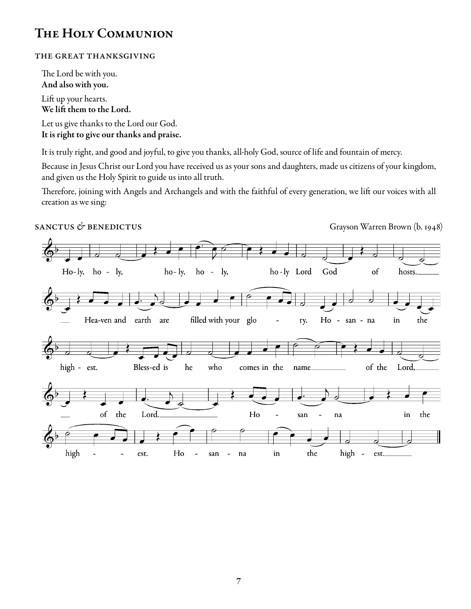# The Holy Communion

# the great thanksgiving

The Lord be with you. And also with you. Lift up your hearts. We lift them to the Lord. Let us give thanks to the Lord our God.

It is right to give our thanks and praise.

It is truly right, and good and joyful, to give you thanks, all-holy God, source of life and fountain of mercy.

Because in Jesus Christ our Lord you have received us as your sons and daughters, made us citizens of your kingdom, and given us the Holy Spirit to guide us into all truth.

Therefore, joining with Angels and Archangels and with the faithful of every generation, we lift our voices with all creation as we sing:

SANCTUS & BENEDICTUS Grayson Warren Brown (b. 1948)

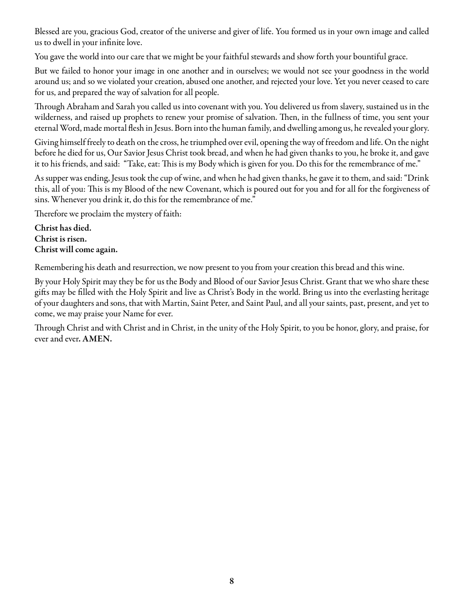Blessed are you, gracious God, creator of the universe and giver of life. You formed us in your own image and called us to dwell in your infinite love.

You gave the world into our care that we might be your faithful stewards and show forth your bountiful grace.

But we failed to honor your image in one another and in ourselves; we would not see your goodness in the world around us; and so we violated your creation, abused one another, and rejected your love. Yet you never ceased to care for us, and prepared the way of salvation for all people.

Through Abraham and Sarah you called us into covenant with you. You delivered us from slavery, sustained us in the wilderness, and raised up prophets to renew your promise of salvation. Then, in the fullness of time, you sent your eternal Word, made mortal flesh in Jesus. Born into the human family, and dwelling among us, he revealed your glory.

Giving himself freely to death on the cross, he triumphed over evil, opening the way of freedom and life. On the night before he died for us, Our Savior Jesus Christ took bread, and when he had given thanks to you, he broke it, and gave it to his friends, and said: "Take, eat: This is my Body which is given for you. Do this for the remembrance of me."

As supper was ending, Jesus took the cup of wine, and when he had given thanks, he gave it to them, and said: "Drink this, all of you: This is my Blood of the new Covenant, which is poured out for you and for all for the forgiveness of sins. Whenever you drink it, do this for the remembrance of me."

Therefore we proclaim the mystery of faith:

Christ has died. Christ is risen. Christ will come again.

Remembering his death and resurrection, we now present to you from your creation this bread and this wine.

By your Holy Spirit may they be for us the Body and Blood of our Savior Jesus Christ. Grant that we who share these gifts may be filled with the Holy Spirit and live as Christ's Body in the world. Bring us into the everlasting heritage of your daughters and sons, that with Martin, Saint Peter, and Saint Paul, and all your saints, past, present, and yet to come, we may praise your Name for ever.

Through Christ and with Christ and in Christ, in the unity of the Holy Spirit, to you be honor, glory, and praise, for ever and ever. AMEN.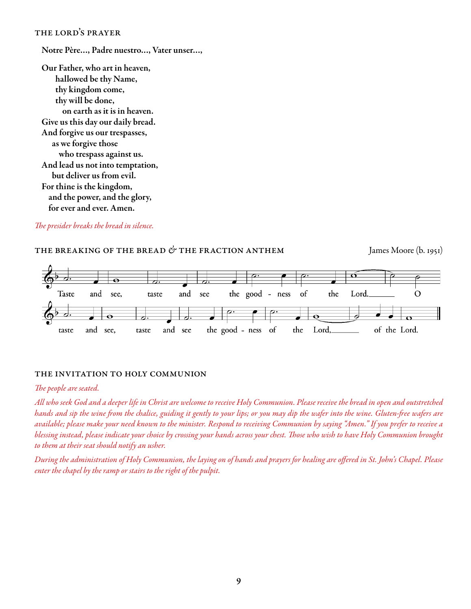#### the lord's prayer

### Notre Père…, Padre nuestro…, Vater unser…,

Our Father, who art in heaven, hallowed be thy Name, thy kingdom come, thy will be done, on earth as it is in heaven. Give us this day our daily bread. And forgive us our trespasses, as we forgive those who trespass against us. And lead us not into temptation, but deliver us from evil. For thine is the kingdom, and the power, and the glory, for ever and ever. Amen.

### *The presider breaks the bread in silence.*

# THE BREAKING OF THE BREAD  $\mathcal O$ <sup>+</sup> THE FRACTION ANTHEM James Moore (b. 1951)



#### the invitation to holy communion

#### *The people are seated.*

*All who seek God and a deeper life in Christ are welcome to receive Holy Communion. Please receive the bread in open and outstretched hands and sip the wine from the chalice, guiding it gently to your lips; or you may dip the wafer into the wine. Gluten-free wafers are available; please make your need known to the minister. Respond to receiving Communion by saying "Amen." If you prefer to receive a blessing instead, please indicate your choice by crossing your hands across your chest. Those who wish to have Holy Communion brought to them at their seat should notify an usher.* 

*During the administration of Holy Communion, the laying on of hands and prayers for healing are offered in St. John's Chapel. Please enter the chapel by the ramp or stairs to the right of the pulpit.*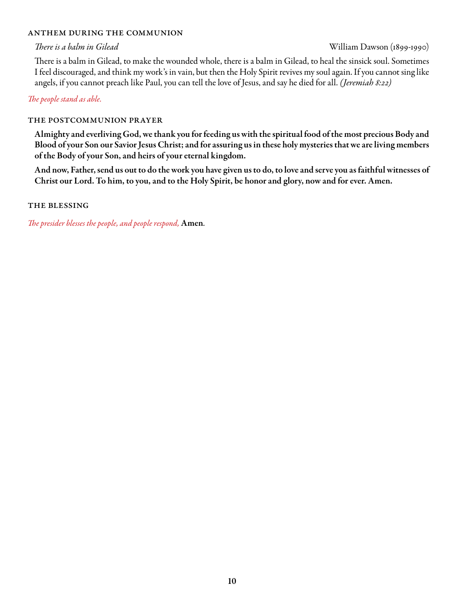# anthem during the communion

*There is a balm in Gilead* William Dawson (1899-1990)

There is a balm in Gilead, to make the wounded whole, there is a balm in Gilead, to heal the sinsick soul. Sometimes I feel discouraged, and think my work's in vain, but then the Holy Spirit revives my soul again. If you cannot sing like angels, if you cannot preach like Paul, you can tell the love of Jesus, and say he died for all. *(Jeremiah 8:22)*

# *The people stand as able.*

## the postcommunion prayer

Almighty and everliving God, we thank you for feeding us with the spiritual food of the most precious Body and Blood of your Son our Savior Jesus Christ; and for assuring us in these holy mysteries that we are living members of the Body of your Son, and heirs of your eternal kingdom.

And now, Father, send us out to do the work you have given us to do, to love and serve you as faithful witnesses of Christ our Lord. To him, to you, and to the Holy Spirit, be honor and glory, now and for ever. Amen.

### the blessing

*The presider blesses the people, and people respond,* Amen*.*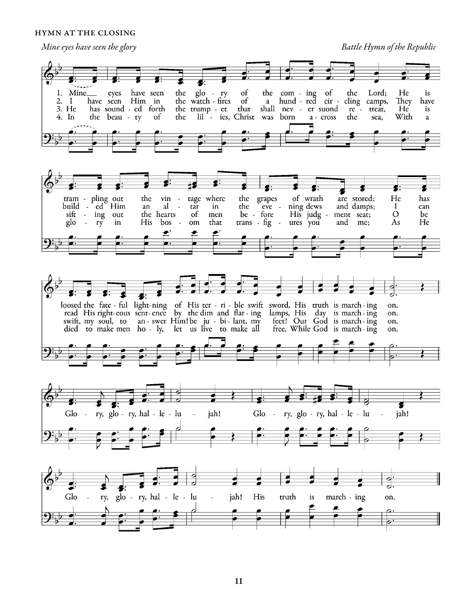#### hymn at the closing

*Mine eyes have seen the glory Battle Hymn of the Republic*